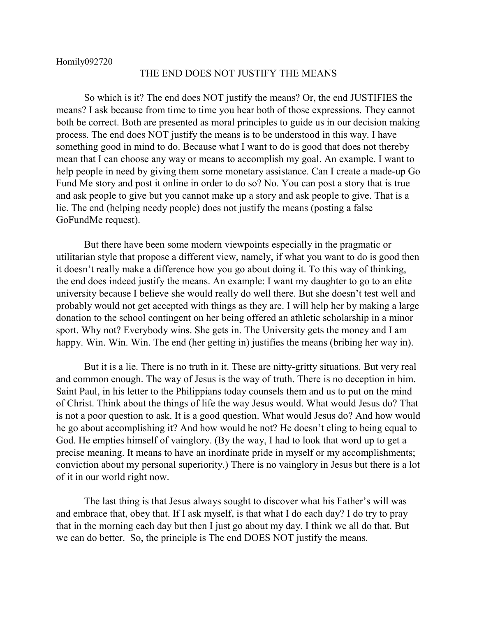## THE END DOES NOT JUSTIFY THE MEANS

So which is it? The end does NOT justify the means? Or, the end JUSTIFIES the means? I ask because from time to time you hear both of those expressions. They cannot both be correct. Both are presented as moral principles to guide us in our decision making process. The end does NOT justify the means is to be understood in this way. I have something good in mind to do. Because what I want to do is good that does not thereby mean that I can choose any way or means to accomplish my goal. An example. I want to help people in need by giving them some monetary assistance. Can I create a made-up Go Fund Me story and post it online in order to do so? No. You can post a story that is true and ask people to give but you cannot make up a story and ask people to give. That is a lie. The end (helping needy people) does not justify the means (posting a false GoFundMe request).

But there have been some modern viewpoints especially in the pragmatic or utilitarian style that propose a different view, namely, if what you want to do is good then it doesn't really make a difference how you go about doing it. To this way of thinking, the end does indeed justify the means. An example: I want my daughter to go to an elite university because I believe she would really do well there. But she doesn't test well and probably would not get accepted with things as they are. I will help her by making a large donation to the school contingent on her being offered an athletic scholarship in a minor sport. Why not? Everybody wins. She gets in. The University gets the money and I am happy. Win. Win. Win. The end (her getting in) justifies the means (bribing her way in).

But it is a lie. There is no truth in it. These are nitty-gritty situations. But very real and common enough. The way of Jesus is the way of truth. There is no deception in him. Saint Paul, in his letter to the Philippians today counsels them and us to put on the mind of Christ. Think about the things of life the way Jesus would. What would Jesus do? That is not a poor question to ask. It is a good question. What would Jesus do? And how would he go about accomplishing it? And how would he not? He doesn't cling to being equal to God. He empties himself of vainglory. (By the way, I had to look that word up to get a precise meaning. It means to have an inordinate pride in myself or my accomplishments; conviction about my personal superiority.) There is no vainglory in Jesus but there is a lot of it in our world right now.

The last thing is that Jesus always sought to discover what his Father's will was and embrace that, obey that. If I ask myself, is that what I do each day? I do try to pray that in the morning each day but then I just go about my day. I think we all do that. But we can do better. So, the principle is The end DOES NOT justify the means.